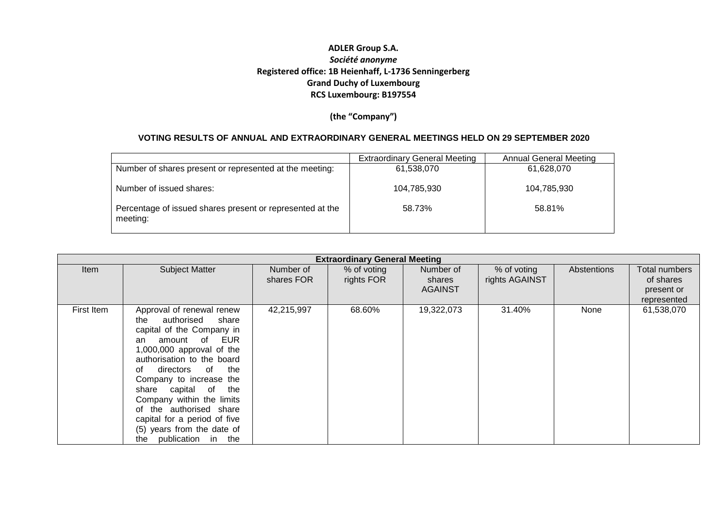**(the "Company")**

#### **VOTING RESULTS OF ANNUAL AND EXTRAORDINARY GENERAL MEETINGS HELD ON 29 SEPTEMBER 2020**

|                                                                       | <b>Extraordinary General Meeting</b> | Annual General Meeting |
|-----------------------------------------------------------------------|--------------------------------------|------------------------|
| Number of shares present or represented at the meeting:               | 61,538,070                           | 61,628,070             |
| Number of issued shares:                                              | 104,785,930                          | 104,785,930            |
| Percentage of issued shares present or represented at the<br>meeting: | 58.73%                               | 58.81%                 |

|             | <b>Extraordinary General Meeting</b>                                                                                                                                                                                                                                                                                                                                                                   |                         |                           |                                       |                               |             |                                                         |  |  |  |
|-------------|--------------------------------------------------------------------------------------------------------------------------------------------------------------------------------------------------------------------------------------------------------------------------------------------------------------------------------------------------------------------------------------------------------|-------------------------|---------------------------|---------------------------------------|-------------------------------|-------------|---------------------------------------------------------|--|--|--|
| <b>Item</b> | <b>Subject Matter</b>                                                                                                                                                                                                                                                                                                                                                                                  | Number of<br>shares FOR | % of voting<br>rights FOR | Number of<br>shares<br><b>AGAINST</b> | % of voting<br>rights AGAINST | Abstentions | Total numbers<br>of shares<br>present or<br>represented |  |  |  |
| First Item  | Approval of renewal renew<br>authorised<br>share<br>the<br>capital of the Company in<br>amount of EUR<br>an<br>1,000,000 approval of the<br>authorisation to the board<br>directors of the<br>Ωt<br>Company to increase the<br>share capital of the<br>Company within the limits<br>of the authorised share<br>capital for a period of five<br>(5) years from the date of<br>publication in the<br>the | 42,215,997              | 68.60%                    | 19,322,073                            | 31.40%                        | None        | 61,538,070                                              |  |  |  |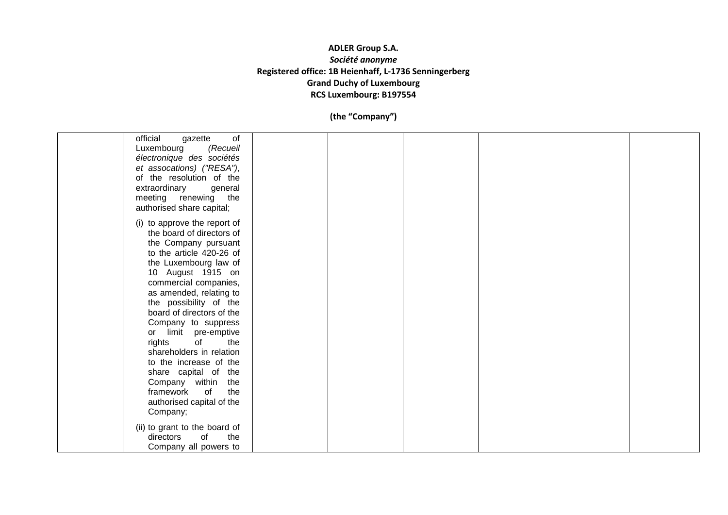| of<br>official<br>gazette<br>Luxembourg<br>(Recueil<br>électronique des sociétés<br>et assocations) ("RESA"),<br>of the resolution of the                                                                                                                                                                                                                                                                                                                                                                  |  |  |  |
|------------------------------------------------------------------------------------------------------------------------------------------------------------------------------------------------------------------------------------------------------------------------------------------------------------------------------------------------------------------------------------------------------------------------------------------------------------------------------------------------------------|--|--|--|
| extraordinary<br>general<br>meeting renewing the<br>authorised share capital;                                                                                                                                                                                                                                                                                                                                                                                                                              |  |  |  |
| (i) to approve the report of<br>the board of directors of<br>the Company pursuant<br>to the article 420-26 of<br>the Luxembourg law of<br>10 August 1915 on<br>commercial companies,<br>as amended, relating to<br>the possibility of the<br>board of directors of the<br>Company to suppress<br>or limit pre-emptive<br>the<br>rights<br>of<br>shareholders in relation<br>to the increase of the<br>share capital of the<br>Company within<br>the<br>of<br>the<br>framework<br>authorised capital of the |  |  |  |
| Company;                                                                                                                                                                                                                                                                                                                                                                                                                                                                                                   |  |  |  |
| (ii) to grant to the board of<br>the<br>of<br>directors<br>Company all powers to                                                                                                                                                                                                                                                                                                                                                                                                                           |  |  |  |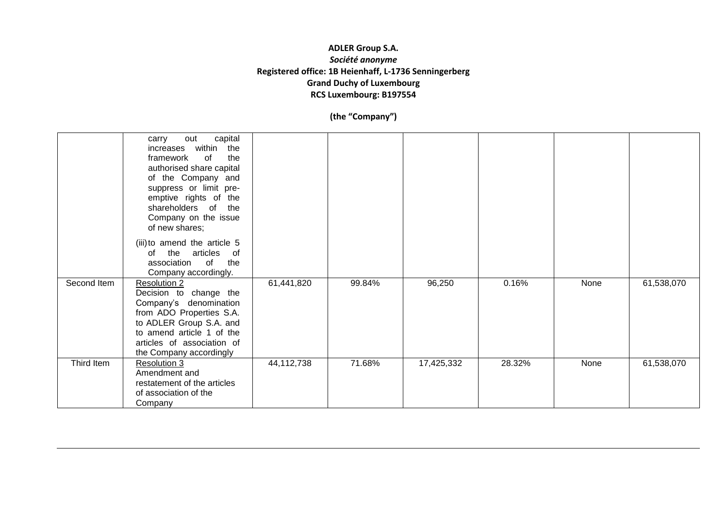|             | capital<br>out<br>carry<br>within the<br>increases<br>the<br>framework<br>of<br>authorised share capital<br>of the Company and<br>suppress or limit pre-<br>emptive rights of the<br>shareholders of the<br>Company on the issue<br>of new shares; |            |        |            |        |      |            |
|-------------|----------------------------------------------------------------------------------------------------------------------------------------------------------------------------------------------------------------------------------------------------|------------|--------|------------|--------|------|------------|
|             | (iii) to amend the article 5<br>the<br>articles<br>of<br>of<br>the<br>association<br>of<br>Company accordingly.                                                                                                                                    |            |        |            |        |      |            |
| Second Item | <b>Resolution 2</b><br>Decision to change the<br>Company's denomination<br>from ADO Properties S.A.<br>to ADLER Group S.A. and<br>to amend article 1 of the<br>articles of association of<br>the Company accordingly                               | 61,441,820 | 99.84% | 96,250     | 0.16%  | None | 61,538,070 |
| Third Item  | <b>Resolution 3</b><br>Amendment and<br>restatement of the articles<br>of association of the<br>Company                                                                                                                                            | 44,112,738 | 71.68% | 17,425,332 | 28.32% | None | 61,538,070 |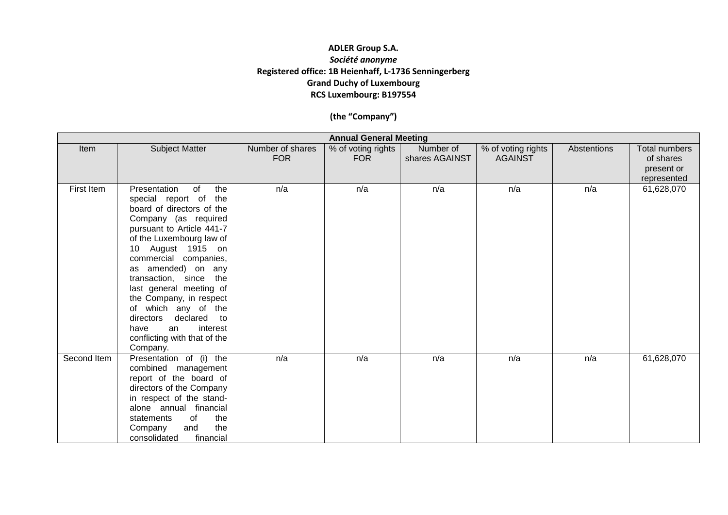|             |                                                                                                                                                                                                                                                                                                                                                                                                                                               |                                | <b>Annual General Meeting</b>    |                             |                                      |             |                                                                |
|-------------|-----------------------------------------------------------------------------------------------------------------------------------------------------------------------------------------------------------------------------------------------------------------------------------------------------------------------------------------------------------------------------------------------------------------------------------------------|--------------------------------|----------------------------------|-----------------------------|--------------------------------------|-------------|----------------------------------------------------------------|
| Item        | <b>Subject Matter</b>                                                                                                                                                                                                                                                                                                                                                                                                                         | Number of shares<br><b>FOR</b> | % of voting rights<br><b>FOR</b> | Number of<br>shares AGAINST | % of voting rights<br><b>AGAINST</b> | Abstentions | <b>Total numbers</b><br>of shares<br>present or<br>represented |
| First Item  | Presentation<br>of<br>the<br>special report of the<br>board of directors of the<br>Company (as required<br>pursuant to Article 441-7<br>of the Luxembourg law of<br>August 1915 on<br>10<br>commercial companies,<br>as amended) on any<br>transaction, since the<br>last general meeting of<br>the Company, in respect<br>of which any of the<br>directors declared to<br>interest<br>have<br>an<br>conflicting with that of the<br>Company. | n/a                            | n/a                              | n/a                         | n/a                                  | n/a         | 61,628,070                                                     |
| Second Item | Presentation of (i) the<br>combined management<br>report of the board of<br>directors of the Company<br>in respect of the stand-<br>alone annual financial<br>of<br>the<br>statements<br>the<br>and<br>Company<br>consolidated<br>financial                                                                                                                                                                                                   | n/a                            | n/a                              | n/a                         | n/a                                  | n/a         | 61,628,070                                                     |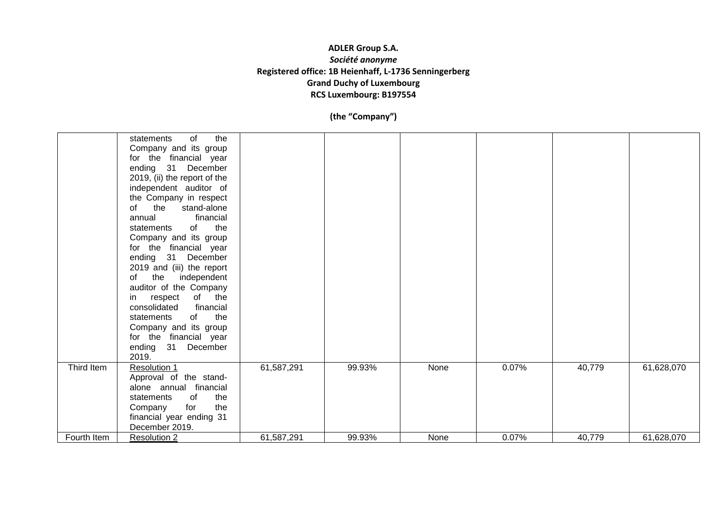|             | of<br>the<br>statements<br>Company and its group<br>for the financial year<br>ending 31 December<br>2019, (ii) the report of the<br>independent auditor of<br>the Company in respect<br>of<br>the<br>stand-alone<br>financial<br>annual<br>of the<br>statements<br>Company and its group<br>for the financial year<br>ending 31<br>December<br>2019 and (iii) the report<br>the independent<br>of<br>auditor of the Company<br>in respect<br>of the<br>consolidated<br>financial<br>the<br>statements<br>of<br>Company and its group<br>for the financial year<br>ending 31 December<br>2019. |            |        |      |       |        |            |
|-------------|-----------------------------------------------------------------------------------------------------------------------------------------------------------------------------------------------------------------------------------------------------------------------------------------------------------------------------------------------------------------------------------------------------------------------------------------------------------------------------------------------------------------------------------------------------------------------------------------------|------------|--------|------|-------|--------|------------|
| Third Item  | <b>Resolution 1</b><br>Approval of the stand-<br>alone annual financial<br>of<br>the<br>statements<br>for<br>the<br>Company<br>financial year ending 31<br>December 2019.                                                                                                                                                                                                                                                                                                                                                                                                                     | 61,587,291 | 99.93% | None | 0.07% | 40,779 | 61,628,070 |
| Fourth Item | <b>Resolution 2</b>                                                                                                                                                                                                                                                                                                                                                                                                                                                                                                                                                                           | 61,587,291 | 99.93% | None | 0.07% | 40,779 | 61,628,070 |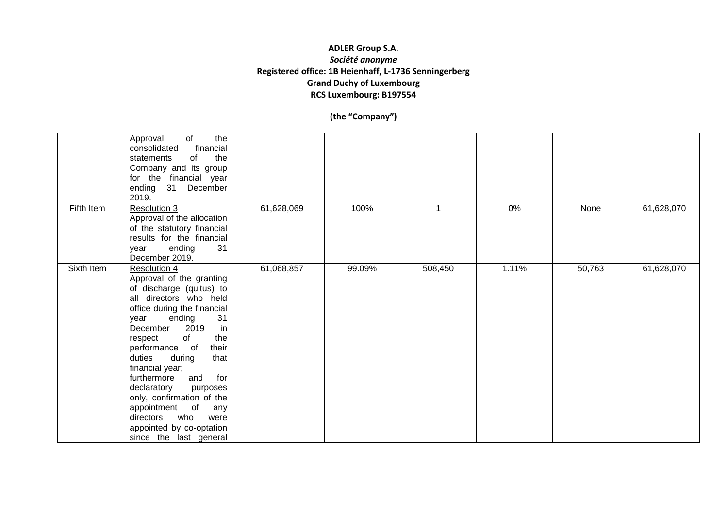|            | the<br>of<br>Approval<br>financial<br>consolidated<br>statements<br>the<br>of<br>Company and its group<br>for the financial year<br>ending 31 December<br>2019.                                                                                                                                                                                                                                                                                                                       |            |        |         |       |        |            |
|------------|---------------------------------------------------------------------------------------------------------------------------------------------------------------------------------------------------------------------------------------------------------------------------------------------------------------------------------------------------------------------------------------------------------------------------------------------------------------------------------------|------------|--------|---------|-------|--------|------------|
| Fifth Item | Resolution 3<br>Approval of the allocation<br>of the statutory financial<br>results for the financial<br>ending<br>31<br>year<br>December 2019.                                                                                                                                                                                                                                                                                                                                       | 61,628,069 | 100%   | 1       | 0%    | None   | 61,628,070 |
| Sixth Item | <b>Resolution 4</b><br>Approval of the granting<br>of discharge (quitus) to<br>all directors who held<br>office during the financial<br>31<br>ending<br>year<br>in<br>2019<br>December<br>of<br>the<br>respect<br>performance of<br>their<br>duties<br>during<br>that<br>financial year;<br>for<br>furthermore<br>and<br>declaratory<br>purposes<br>only, confirmation of the<br>appointment of<br>any<br>directors who<br>were<br>appointed by co-optation<br>since the last general | 61,068,857 | 99.09% | 508,450 | 1.11% | 50,763 | 61,628,070 |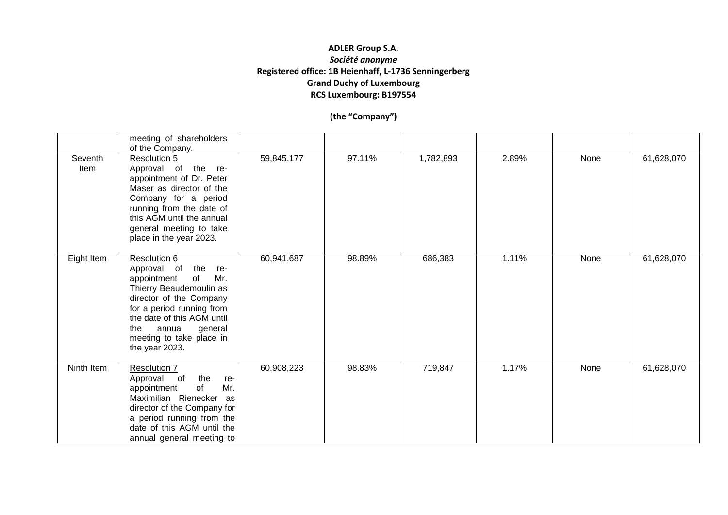|                 | meeting of shareholders<br>of the Company.                                                                                                                                                                                                                    |            |        |           |       |      |            |
|-----------------|---------------------------------------------------------------------------------------------------------------------------------------------------------------------------------------------------------------------------------------------------------------|------------|--------|-----------|-------|------|------------|
| Seventh<br>Item | <b>Resolution 5</b><br>Approval of the re-<br>appointment of Dr. Peter<br>Maser as director of the<br>Company for a period<br>running from the date of<br>this AGM until the annual<br>general meeting to take<br>place in the year 2023.                     | 59,845,177 | 97.11% | 1,782,893 | 2.89% | None | 61,628,070 |
| Eight Item      | Resolution 6<br>Approval of<br>the re-<br>appointment<br>of<br>Mr.<br>Thierry Beaudemoulin as<br>director of the Company<br>for a period running from<br>the date of this AGM until<br>the<br>annual<br>general<br>meeting to take place in<br>the year 2023. | 60,941,687 | 98.89% | 686,383   | 1.11% | None | 61,628,070 |
| Ninth Item      | Resolution 7<br>Approval of<br>the<br>re-<br>Mr.<br>of<br>appointment<br>Maximilian Rienecker<br>as<br>director of the Company for<br>a period running from the<br>date of this AGM until the<br>annual general meeting to                                    | 60,908,223 | 98.83% | 719,847   | 1.17% | None | 61,628,070 |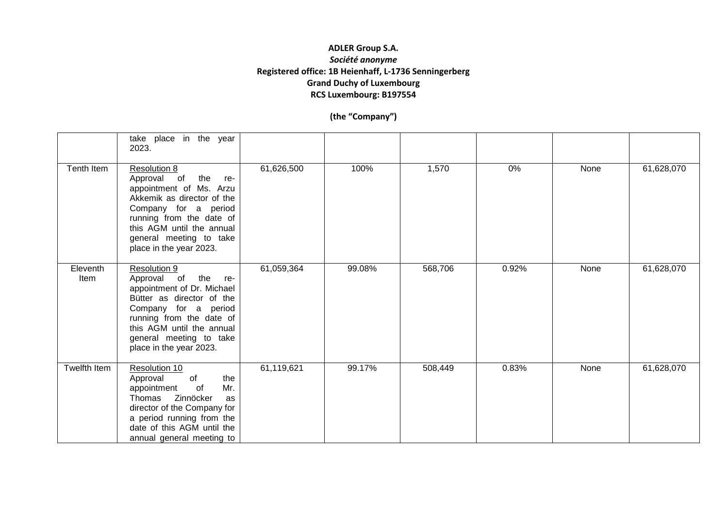|                  | take place in the year<br>2023.                                                                                                                                                                                                               |            |        |         |       |      |            |
|------------------|-----------------------------------------------------------------------------------------------------------------------------------------------------------------------------------------------------------------------------------------------|------------|--------|---------|-------|------|------------|
| Tenth Item       | <b>Resolution 8</b><br>Approval of the<br>re-<br>appointment of Ms. Arzu<br>Akkemik as director of the<br>Company for a period<br>running from the date of<br>this AGM until the annual<br>general meeting to take<br>place in the year 2023. | 61,626,500 | 100%   | 1,570   | 0%    | None | 61,628,070 |
| Eleventh<br>Item | Resolution 9<br>Approval of the<br>re-<br>appointment of Dr. Michael<br>Bütter as director of the<br>Company for a period<br>running from the date of<br>this AGM until the annual<br>general meeting to take<br>place in the year 2023.      | 61,059,364 | 99.08% | 568,706 | 0.92% | None | 61,628,070 |
| Twelfth Item     | Resolution 10<br>Approval<br>the<br>of<br>Mr.<br>appointment<br>of<br>Zinnöcker<br>Thomas<br>as<br>director of the Company for<br>a period running from the<br>date of this AGM until the<br>annual general meeting to                        | 61,119,621 | 99.17% | 508,449 | 0.83% | None | 61,628,070 |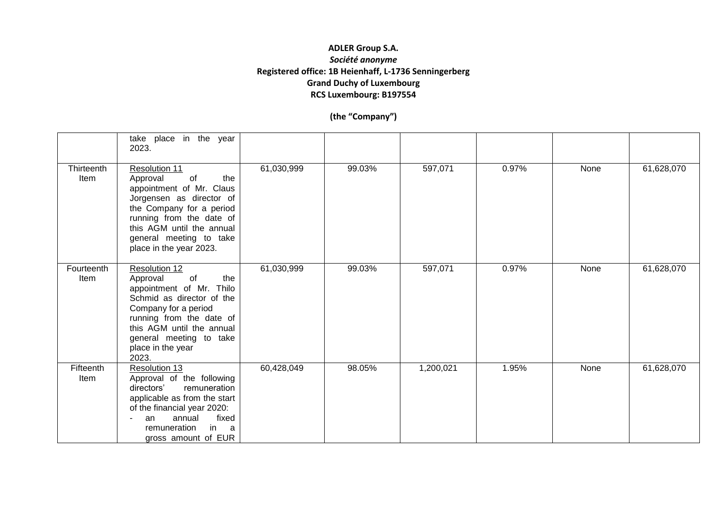|                    | take place in the year<br>2023.                                                                                                                                                                                                           |            |        |           |       |      |            |
|--------------------|-------------------------------------------------------------------------------------------------------------------------------------------------------------------------------------------------------------------------------------------|------------|--------|-----------|-------|------|------------|
| Thirteenth<br>Item | Resolution 11<br>Approval<br>of<br>the<br>appointment of Mr. Claus<br>Jorgensen as director of<br>the Company for a period<br>running from the date of<br>this AGM until the annual<br>general meeting to take<br>place in the year 2023. | 61,030,999 | 99.03% | 597,071   | 0.97% | None | 61,628,070 |
| Fourteenth<br>Item | Resolution 12<br>Approval<br>of<br>the<br>appointment of Mr. Thilo<br>Schmid as director of the<br>Company for a period<br>running from the date of<br>this AGM until the annual<br>general meeting to take<br>place in the year<br>2023. | 61,030,999 | 99.03% | 597,071   | 0.97% | None | 61,628,070 |
| Fifteenth<br>Item  | Resolution 13<br>Approval of the following<br>directors'<br>remuneration<br>applicable as from the start<br>of the financial year 2020:<br>fixed<br>annual<br>an<br>in a<br>remuneration<br>gross amount of EUR                           | 60,428,049 | 98.05% | 1,200,021 | 1.95% | None | 61,628,070 |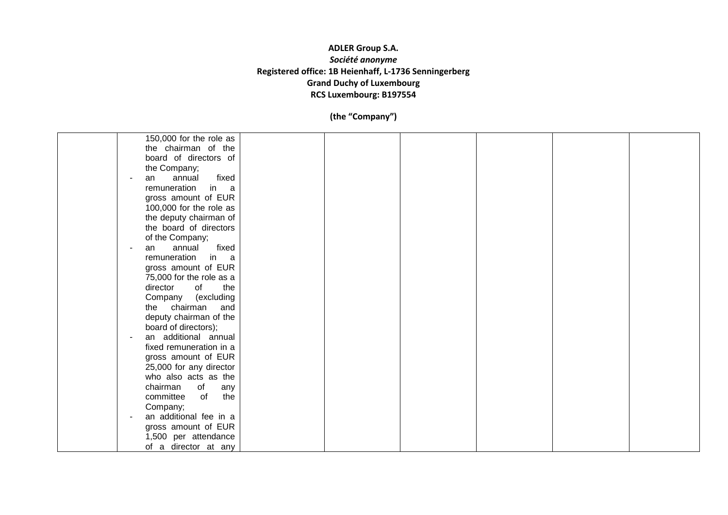| 150,000 for the role as                                                                                                                                                                                                                                                                                    |  |  |  |
|------------------------------------------------------------------------------------------------------------------------------------------------------------------------------------------------------------------------------------------------------------------------------------------------------------|--|--|--|
| the chairman of the                                                                                                                                                                                                                                                                                        |  |  |  |
| board of directors of                                                                                                                                                                                                                                                                                      |  |  |  |
| the Company;                                                                                                                                                                                                                                                                                               |  |  |  |
| fixed<br>annual<br>an                                                                                                                                                                                                                                                                                      |  |  |  |
| remuneration                                                                                                                                                                                                                                                                                               |  |  |  |
| in a                                                                                                                                                                                                                                                                                                       |  |  |  |
| gross amount of EUR                                                                                                                                                                                                                                                                                        |  |  |  |
| 100,000 for the role as                                                                                                                                                                                                                                                                                    |  |  |  |
| the deputy chairman of                                                                                                                                                                                                                                                                                     |  |  |  |
| the board of directors                                                                                                                                                                                                                                                                                     |  |  |  |
| of the Company;                                                                                                                                                                                                                                                                                            |  |  |  |
| fixed<br>annual<br>an                                                                                                                                                                                                                                                                                      |  |  |  |
| remuneration<br>in a                                                                                                                                                                                                                                                                                       |  |  |  |
| gross amount of EUR                                                                                                                                                                                                                                                                                        |  |  |  |
| 75,000 for the role as a                                                                                                                                                                                                                                                                                   |  |  |  |
| director<br>of<br>the                                                                                                                                                                                                                                                                                      |  |  |  |
| Company (excluding                                                                                                                                                                                                                                                                                         |  |  |  |
| the chairman<br>and                                                                                                                                                                                                                                                                                        |  |  |  |
|                                                                                                                                                                                                                                                                                                            |  |  |  |
|                                                                                                                                                                                                                                                                                                            |  |  |  |
|                                                                                                                                                                                                                                                                                                            |  |  |  |
|                                                                                                                                                                                                                                                                                                            |  |  |  |
|                                                                                                                                                                                                                                                                                                            |  |  |  |
|                                                                                                                                                                                                                                                                                                            |  |  |  |
|                                                                                                                                                                                                                                                                                                            |  |  |  |
|                                                                                                                                                                                                                                                                                                            |  |  |  |
| any                                                                                                                                                                                                                                                                                                        |  |  |  |
| the<br>committee<br>of                                                                                                                                                                                                                                                                                     |  |  |  |
|                                                                                                                                                                                                                                                                                                            |  |  |  |
|                                                                                                                                                                                                                                                                                                            |  |  |  |
|                                                                                                                                                                                                                                                                                                            |  |  |  |
|                                                                                                                                                                                                                                                                                                            |  |  |  |
|                                                                                                                                                                                                                                                                                                            |  |  |  |
| deputy chairman of the<br>board of directors);<br>an additional annual<br>fixed remuneration in a<br>gross amount of EUR<br>25,000 for any director<br>who also acts as the<br>chairman<br>of<br>Company;<br>an additional fee in a<br>gross amount of EUR<br>1,500 per attendance<br>of a director at any |  |  |  |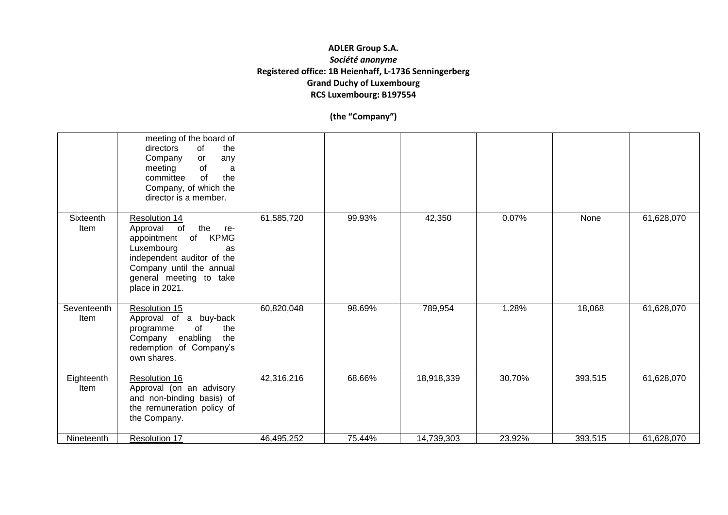|                     | meeting of the board of<br>directors<br>of<br>the<br>Company<br>or<br>any<br>of<br>meeting<br>a<br>of<br>committee<br>the<br>Company, of which the<br>director is a member.            |            |        |            |        |         |            |
|---------------------|----------------------------------------------------------------------------------------------------------------------------------------------------------------------------------------|------------|--------|------------|--------|---------|------------|
| Sixteenth<br>Item   | Resolution 14<br>Approval of the re-<br>appointment of KPMG<br>Luxembourg<br>as<br>independent auditor of the<br>Company until the annual<br>general meeting to take<br>place in 2021. | 61,585,720 | 99.93% | 42,350     | 0.07%  | None    | 61,628,070 |
| Seventeenth<br>Item | Resolution 15<br>Approval of a buy-back<br>of<br>the<br>programme<br>Company enabling<br>the<br>redemption of Company's<br>own shares.                                                 | 60,820,048 | 98.69% | 789,954    | 1.28%  | 18,068  | 61,628,070 |
| Eighteenth<br>Item  | Resolution 16<br>Approval (on an advisory<br>and non-binding basis) of<br>the remuneration policy of<br>the Company.                                                                   | 42,316,216 | 68.66% | 18,918,339 | 30.70% | 393,515 | 61,628,070 |
| Nineteenth          | Resolution 17                                                                                                                                                                          | 46,495,252 | 75.44% | 14,739,303 | 23.92% | 393,515 | 61,628,070 |